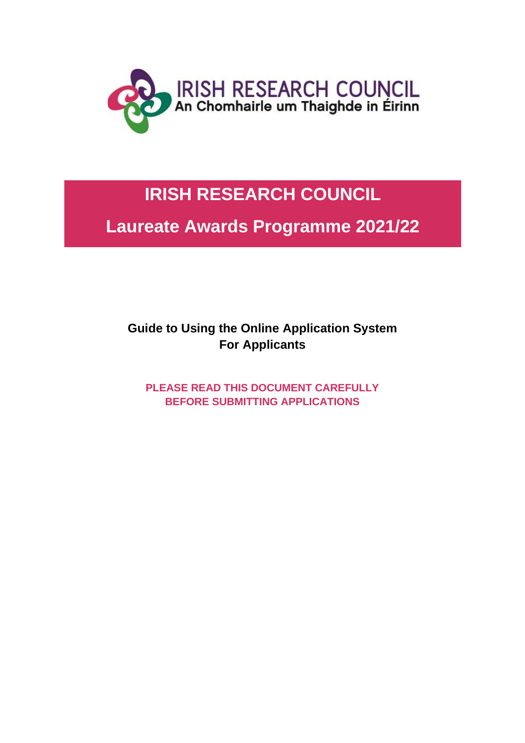

# **IRISH RESEARCH COUNCIL**

**Laureate Awards Programme 2021/22**

**Guide to Using the Online Application System For Applicants**

**PLEASE READ THIS DOCUMENT CAREFULLY BEFORE SUBMITTING APPLICATIONS**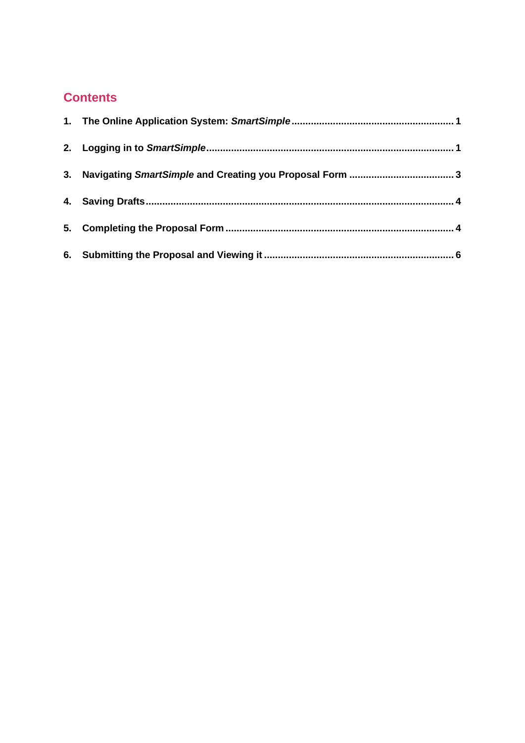#### **Contents**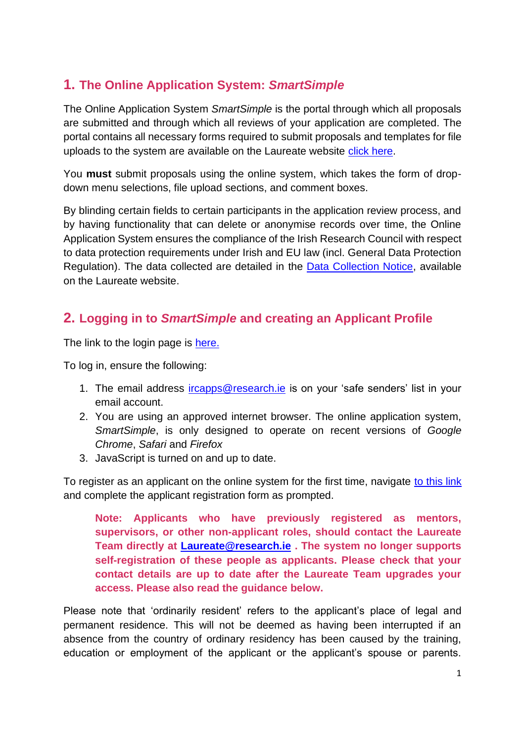#### <span id="page-2-0"></span>**1. The Online Application System:** *SmartSimple*

The Online Application System *SmartSimple* is the portal through which all proposals are submitted and through which all reviews of your application are completed. The portal contains all necessary forms required to submit proposals and templates for file uploads to the system are available on the Laureate website [click here.](https://research.ie/funding/ircla/)

You **must** submit proposals using the online system, which takes the form of dropdown menu selections, file upload sections, and comment boxes.

By blinding certain fields to certain participants in the application review process, and by having functionality that can delete or anonymise records over time, the Online Application System ensures the compliance of the Irish Research Council with respect to data protection requirements under Irish and EU law (incl. General Data Protection Regulation). The data collected are detailed in the [Data Collection Notice,](https://research.ie/assets/uploads/2021/09/IRC-Data-Collection-Notice-Laureate-Awards.pdf) available on the Laureate website.

## <span id="page-2-1"></span>**2. Logging in to** *SmartSimple* **and creating an Applicant Profile**

The link to the login page is [here.](https://irishresearch.smartsimple.ie/s_Login.jsp)

To log in, ensure the following:

- 1. The email address *ircapps@research.ie* is on your 'safe senders' list in your email account.
- 2. You are using an approved internet browser. The online application system, *SmartSimple*, is only designed to operate on recent versions of *Google Chrome*, *Safari* and *Firefox*
- 3. JavaScript is turned on and up to date.

To register as an applicant on the online system for the first time, navigate [to this link](https://irishresearch.smartsimple.ie/s_signup.jsp?token=XVtQC1oGYFpfRxNZXxVSSlBSZklyGHY%3D) and complete the applicant registration form as prompted.

**Note: Applicants who have previously registered as mentors, supervisors, or other non-applicant roles, should contact the Laureate Team directly at [Laureate@research.ie](mailto:Laureate@research.ie) . The system no longer supports self-registration of these people as applicants. Please check that your contact details are up to date after the Laureate Team upgrades your access. Please also read the guidance below.**

Please note that 'ordinarily resident' refers to the applicant's place of legal and permanent residence. This will not be deemed as having been interrupted if an absence from the country of ordinary residency has been caused by the training, education or employment of the applicant or the applicant's spouse or parents.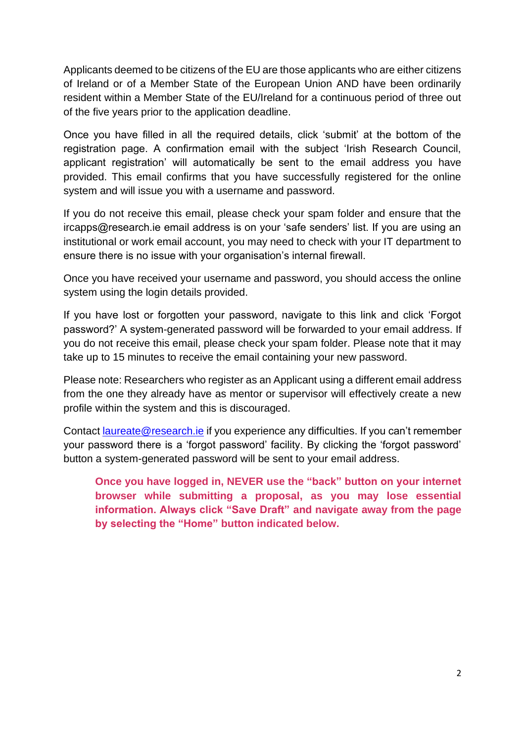Applicants deemed to be citizens of the EU are those applicants who are either citizens of Ireland or of a Member State of the European Union AND have been ordinarily resident within a Member State of the EU/Ireland for a continuous period of three out of the five years prior to the application deadline.

Once you have filled in all the required details, click 'submit' at the bottom of the registration page. A confirmation email with the subject 'Irish Research Council, applicant registration' will automatically be sent to the email address you have provided. This email confirms that you have successfully registered for the online system and will issue you with a username and password.

If you do not receive this email, please check your spam folder and ensure that the ircapps@research.ie email address is on your 'safe senders' list. If you are using an institutional or work email account, you may need to check with your IT department to ensure there is no issue with your organisation's internal firewall.

Once you have received your username and password, you should access the online system using the login details provided.

If you have lost or forgotten your password, navigate to this link and click 'Forgot password?' A system-generated password will be forwarded to your email address. If you do not receive this email, please check your spam folder. Please note that it may take up to 15 minutes to receive the email containing your new password.

Please note: Researchers who register as an Applicant using a different email address from the one they already have as mentor or supervisor will effectively create a new profile within the system and this is discouraged.

Contact [laureate@research.ie](mailto:laureate@research.ie) if you experience any difficulties. If you can't remember your password there is a 'forgot password' facility. By clicking the 'forgot password' button a system-generated password will be sent to your email address.

**Once you have logged in, NEVER use the "back" button on your internet browser while submitting a proposal, as you may lose essential information. Always click "Save Draft" and navigate away from the page by selecting the "Home" button indicated below.**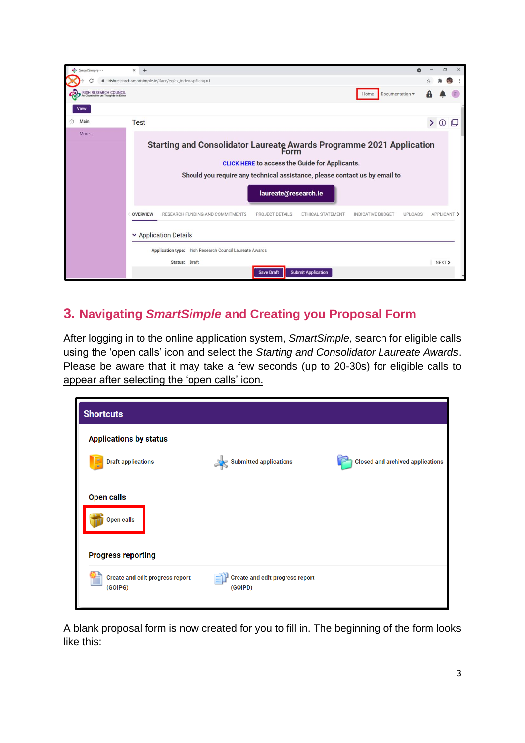

## <span id="page-4-0"></span>**3. Navigating** *SmartSimple* **and Creating you Proposal Form**

After logging in to the online application system, *SmartSimple*, search for eligible calls using the 'open calls' icon and select the *Starting and Consolidator Laureate Awards*. Please be aware that it may take a few seconds (up to 20-30s) for eligible calls to appear after selecting the 'open calls' icon.

| <b>Shortcuts</b>                                                    |                                                   |                                         |  |  |  |  |
|---------------------------------------------------------------------|---------------------------------------------------|-----------------------------------------|--|--|--|--|
| <b>Applications by status</b>                                       |                                                   |                                         |  |  |  |  |
| <b>Draft applications</b>                                           | <b>Submitted applications</b>                     | <b>Closed and archived applications</b> |  |  |  |  |
| <b>Open calls</b><br><b>Open calls</b><br><b>Progress reporting</b> |                                                   |                                         |  |  |  |  |
| <b>Create and edit progress report</b><br>(GOIPG)                   | <b>Create and edit progress report</b><br>(GOIPD) |                                         |  |  |  |  |

A blank proposal form is now created for you to fill in. The beginning of the form looks like this: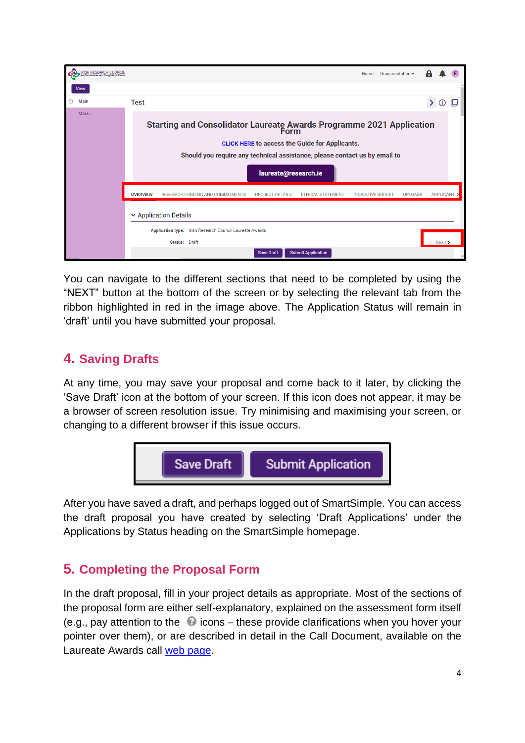

You can navigate to the different sections that need to be completed by using the "NEXT" button at the bottom of the screen or by selecting the relevant tab from the ribbon highlighted in red in the image above. The Application Status will remain in 'draft' until you have submitted your proposal.

## <span id="page-5-0"></span>**4. Saving Drafts**

At any time, you may save your proposal and come back to it later, by clicking the 'Save Draft' icon at the bottom of your screen. If this icon does not appear, it may be a browser of screen resolution issue. Try minimising and maximising your screen, or changing to a different browser if this issue occurs.



After you have saved a draft, and perhaps logged out of SmartSimple. You can access the draft proposal you have created by selecting 'Draft Applications' under the Applications by Status heading on the SmartSimple homepage.

## <span id="page-5-1"></span>**5. Completing the Proposal Form**

In the draft proposal, fill in your project details as appropriate. Most of the sections of the proposal form are either self-explanatory, explained on the assessment form itself (e.g., pay attention to the  $\bullet$  icons – these provide clarifications when you hover your pointer over them), or are described in detail in the Call Document, available on the Laureate Awards call [web page.](https://research.ie/funding/ircla/)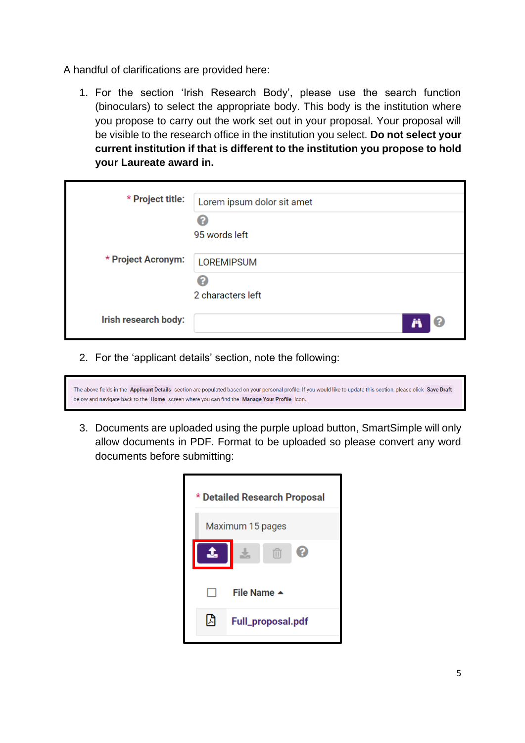A handful of clarifications are provided here:

1. For the section 'Irish Research Body', please use the search function (binoculars) to select the appropriate body. This body is the institution where you propose to carry out the work set out in your proposal. Your proposal will be visible to the research office in the institution you select. **Do not select your current institution if that is different to the institution you propose to hold your Laureate award in.**

| * Project title:     | Lorem ipsum dolor sit amet |
|----------------------|----------------------------|
|                      | 2                          |
|                      | 95 words left              |
| * Project Acronym:   | <b>LOREMIPSUM</b>          |
|                      | 2                          |
|                      | 2 characters left          |
| Irish research body: | ၉                          |

2. For the 'applicant details' section, note the following:

|                                                                                             |  | The above fields in the Applicant Details section are populated based on your personal profile. If you would like to update this section, please click Save Draft |  |
|---------------------------------------------------------------------------------------------|--|-------------------------------------------------------------------------------------------------------------------------------------------------------------------|--|
| below and navigate back to the Home screen where you can find the Manage Your Profile icon. |  |                                                                                                                                                                   |  |

3. Documents are uploaded using the purple upload button, SmartSimple will only allow documents in PDF. Format to be uploaded so please convert any word documents before submitting:

| * Detailed Research Proposal |                   |  |  |  |
|------------------------------|-------------------|--|--|--|
| Maximum 15 pages             |                   |  |  |  |
|                              | 血                 |  |  |  |
|                              | File Name ▲       |  |  |  |
| 闪                            | Full_proposal.pdf |  |  |  |